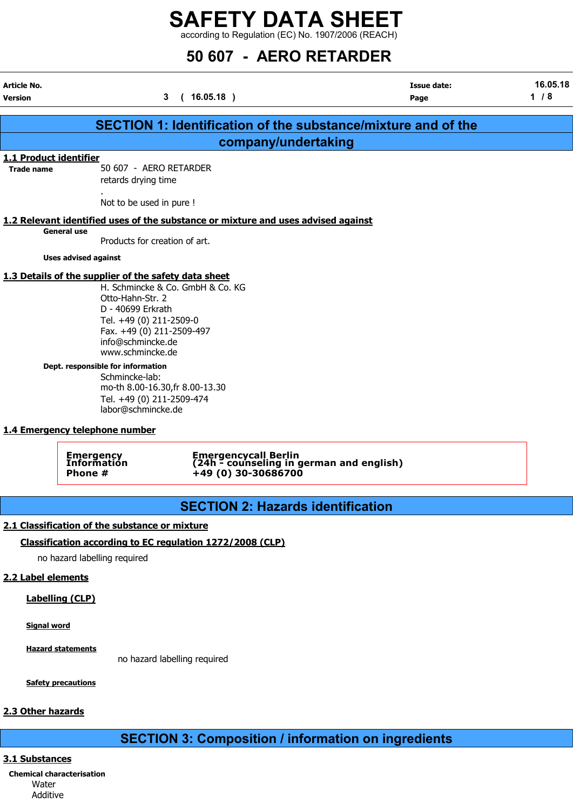according to Regulation (EC) No. 1907/2006 (REACH)

| <b>Article No.</b>     | 50 607 - AERO RETARDER<br>16.05.18<br><b>Issue date:</b>                                                                                                                                                                                                                                                                                                                                                          |      |       |  |  |  |  |
|------------------------|-------------------------------------------------------------------------------------------------------------------------------------------------------------------------------------------------------------------------------------------------------------------------------------------------------------------------------------------------------------------------------------------------------------------|------|-------|--|--|--|--|
| <b>Version</b>         | (16.05.18)<br>3                                                                                                                                                                                                                                                                                                                                                                                                   | Page | $1/8$ |  |  |  |  |
|                        | <b>SECTION 1: Identification of the substance/mixture and of the</b>                                                                                                                                                                                                                                                                                                                                              |      |       |  |  |  |  |
|                        | company/undertaking                                                                                                                                                                                                                                                                                                                                                                                               |      |       |  |  |  |  |
| 1.1 Product identifier |                                                                                                                                                                                                                                                                                                                                                                                                                   |      |       |  |  |  |  |
| <b>Trade name</b>      | 50 607 - AERO RETARDER<br>retards drying time                                                                                                                                                                                                                                                                                                                                                                     |      |       |  |  |  |  |
|                        | Not to be used in pure !                                                                                                                                                                                                                                                                                                                                                                                          |      |       |  |  |  |  |
|                        | 1.2 Relevant identified uses of the substance or mixture and uses advised against                                                                                                                                                                                                                                                                                                                                 |      |       |  |  |  |  |
|                        | <b>General use</b><br>Products for creation of art.                                                                                                                                                                                                                                                                                                                                                               |      |       |  |  |  |  |
|                        | <b>Uses advised against</b>                                                                                                                                                                                                                                                                                                                                                                                       |      |       |  |  |  |  |
|                        | 1.3 Details of the supplier of the safety data sheet<br>H. Schmincke & Co. GmbH & Co. KG<br>Otto-Hahn-Str. 2<br>D - 40699 Erkrath<br>Tel. +49 (0) 211-2509-0<br>Fax. +49 (0) 211-2509-497<br>info@schmincke.de<br>www.schmincke.de<br>Dept. responsible for information<br>Schmincke-lab:<br>mo-th 8.00-16.30, fr 8.00-13.30<br>Tel. +49 (0) 211-2509-474<br>labor@schmincke.de<br>1.4 Emergency telephone number |      |       |  |  |  |  |
|                        | Emergencycall Berlin<br>(24h - counseling in german and english)<br>Emergency<br>Information<br>+49 (0) 30-30686700<br>Phone #                                                                                                                                                                                                                                                                                    |      |       |  |  |  |  |
|                        | <b>SECTION 2: Hazards identification</b>                                                                                                                                                                                                                                                                                                                                                                          |      |       |  |  |  |  |
|                        |                                                                                                                                                                                                                                                                                                                                                                                                                   |      |       |  |  |  |  |
|                        | 2.1 Classification of the substance or mixture                                                                                                                                                                                                                                                                                                                                                                    |      |       |  |  |  |  |
|                        | Classification according to EC regulation 1272/2008 (CLP)<br>no hazard labelling required                                                                                                                                                                                                                                                                                                                         |      |       |  |  |  |  |
|                        |                                                                                                                                                                                                                                                                                                                                                                                                                   |      |       |  |  |  |  |

## 2.2 Label elements

Labelling (CLP)

Signal word

Hazard statements

no hazard labelling required

**Safety precautions** 

## 2.3 Other hazards

## SECTION 3: Composition / information on ingredients

## 3.1 Substances

Chemical characterisation Water Additive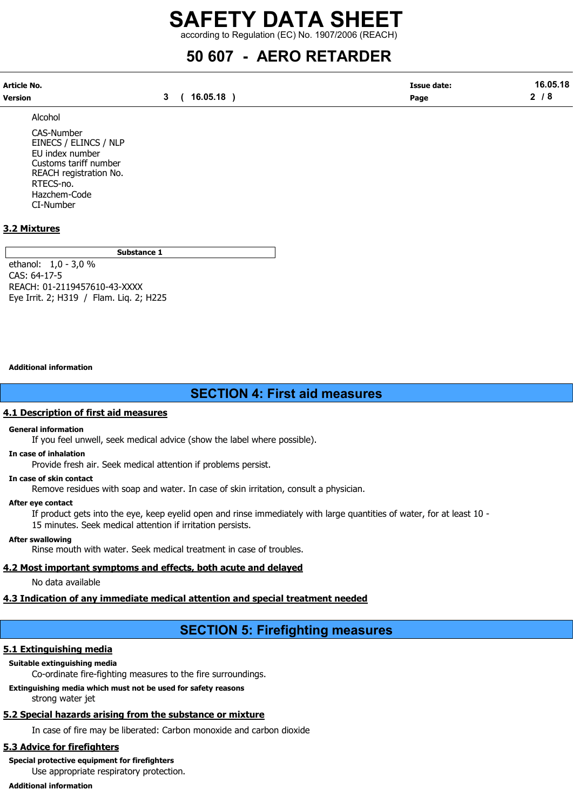according to Regulation (EC) No. 1907/2006 (REACH)

## 50 607 - AERO RETARDER

| Article No. |              | <b>Issue date:</b> | 16.05.18 |
|-------------|--------------|--------------------|----------|
| Version     | 3 ( 16.05.18 | Page               | 2/8      |

Alcohol

CAS-Number EINECS / ELINCS / NLP EU index number Customs tariff number REACH registration No. RTECS-no. Hazchem-Code CI-Number

## 3.2 Mixtures

Substance 1

ethanol: 1,0 - 3,0 % CAS: 64-17-5 REACH: 01-2119457610-43-XXXX Eye Irrit. 2; H319 / Flam. Liq. 2; H225

#### Additional information

## SECTION 4: First aid measures

#### 4.1 Description of first aid measures

### General information

If you feel unwell, seek medical advice (show the label where possible).

In case of inhalation

Provide fresh air. Seek medical attention if problems persist.

## In case of skin contact

Remove residues with soap and water. In case of skin irritation, consult a physician.

#### After eye contact

If product gets into the eye, keep eyelid open and rinse immediately with large quantities of water, for at least 10 - 15 minutes. Seek medical attention if irritation persists.

#### After swallowing

Rinse mouth with water. Seek medical treatment in case of troubles.

## 4.2 Most important symptoms and effects, both acute and delayed

No data available

## 4.3 Indication of any immediate medical attention and special treatment needed

## SECTION 5: Firefighting measures

## 5.1 Extinguishing media

## Suitable extinguishing media

Co-ordinate fire-fighting measures to the fire surroundings.

Extinguishing media which must not be used for safety reasons strong water jet

## 5.2 Special hazards arising from the substance or mixture

In case of fire may be liberated: Carbon monoxide and carbon dioxide

## 5.3 Advice for firefighters

Special protective equipment for firefighters

Use appropriate respiratory protection.

Additional information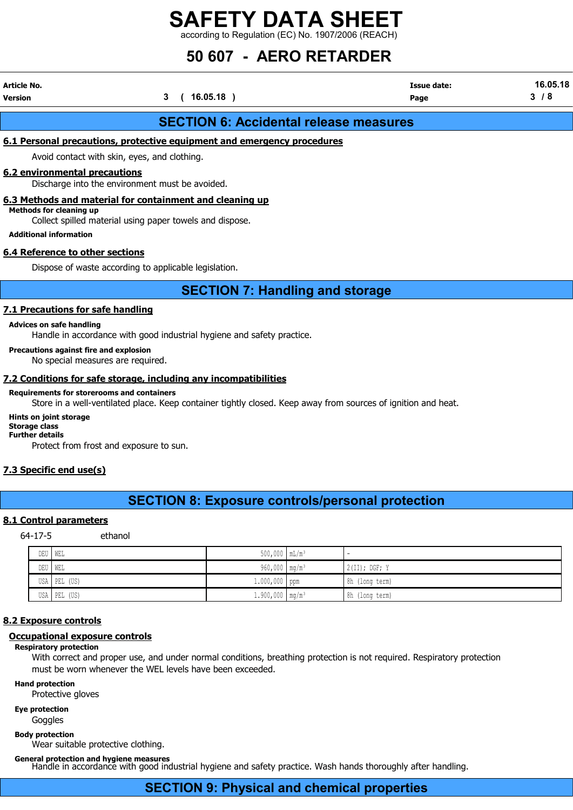according to Regulation (EC) No. 1907/2006 (REACH)

## 50 607 - AERO RETARDER

| Article No.                                                     |                                                                                                                      | <b>Issue date:</b> | 16.05.18 |  |  |  |  |  |
|-----------------------------------------------------------------|----------------------------------------------------------------------------------------------------------------------|--------------------|----------|--|--|--|--|--|
| Version                                                         | 3<br>$16.05.18$ )                                                                                                    | Page               | 3/8      |  |  |  |  |  |
|                                                                 | <b>SECTION 6: Accidental release measures</b>                                                                        |                    |          |  |  |  |  |  |
|                                                                 | 6.1 Personal precautions, protective equipment and emergency procedures                                              |                    |          |  |  |  |  |  |
|                                                                 | Avoid contact with skin, eyes, and clothing.                                                                         |                    |          |  |  |  |  |  |
| 6.2 environmental precautions                                   | Discharge into the environment must be avoided.                                                                      |                    |          |  |  |  |  |  |
| <b>Methods for cleaning up</b><br><b>Additional information</b> | 6.3 Methods and material for containment and cleaning up<br>Collect spilled material using paper towels and dispose. |                    |          |  |  |  |  |  |
| 6.4 Reference to other sections                                 |                                                                                                                      |                    |          |  |  |  |  |  |
|                                                                 | Dispose of waste according to applicable legislation.                                                                |                    |          |  |  |  |  |  |
|                                                                 | <b>SECTION 7: Handling and storage</b>                                                                               |                    |          |  |  |  |  |  |

## 7.1 Precautions for safe handling

### Advices on safe handling

Handle in accordance with good industrial hygiene and safety practice.

#### Precautions against fire and explosion

No special measures are required.

## 7.2 Conditions for safe storage, including any incompatibilities

#### Requirements for storerooms and containers

Store in a well-ventilated place. Keep container tightly closed. Keep away from sources of ignition and heat.

#### Hints on joint storage

Storage class Further details

Protect from frost and exposure to sun.

## 7.3 Specific end use(s)

## SECTION 8: Exposure controls/personal protection

## 8.1 Control parameters

64-17-5 ethanol

| DEU   WEL |              | $500,000$ $mL/m^3$            | $\sim$          |
|-----------|--------------|-------------------------------|-----------------|
| DEU WEL   |              | $960,000$ mg/m <sup>3</sup>   | $2(II);$ DGF; Y |
|           | USA PEL (US) | 1.000,000 ppm                 | 8h (long term)  |
|           | USA PEL (US) | $1.900,000$ mg/m <sup>3</sup> | 8h (long term)  |

#### 8.2 Exposure controls

### Occupational exposure controls

#### Respiratory protection

With correct and proper use, and under normal conditions, breathing protection is not required. Respiratory protection must be worn whenever the WEL levels have been exceeded.

Hand protection

Protective gloves

Eye protection

**Goggles** 

Body protection

Wear suitable protective clothing.

General protection and hygiene measures Handle in accordance with good industrial hygiene and safety practice. Wash hands thoroughly after handling.

## SECTION 9: Physical and chemical properties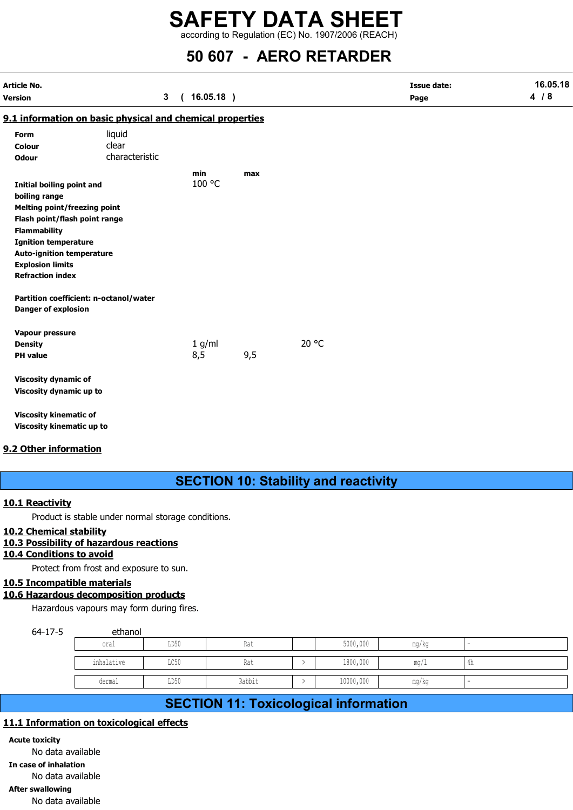according to Regulation (EC) No. 1907/2006 (REACH)

## 50 607 - AERO RETARDER

| Article No.<br>Version              |                                                           | $\mathbf{3}$ | (16.05.18) |     | <b>Issue date:</b><br>Page | 16.05.18<br>4/8 |
|-------------------------------------|-----------------------------------------------------------|--------------|------------|-----|----------------------------|-----------------|
|                                     | 9.1 information on basic physical and chemical properties |              |            |     |                            |                 |
| Form                                | liquid                                                    |              |            |     |                            |                 |
| Colour                              | clear                                                     |              |            |     |                            |                 |
| <b>Odour</b>                        | characteristic                                            |              |            |     |                            |                 |
|                                     |                                                           |              | min        | max |                            |                 |
| <b>Initial boiling point and</b>    |                                                           |              | 100 °C     |     |                            |                 |
| boiling range                       |                                                           |              |            |     |                            |                 |
| <b>Melting point/freezing point</b> |                                                           |              |            |     |                            |                 |
| Flash point/flash point range       |                                                           |              |            |     |                            |                 |
| <b>Flammability</b>                 |                                                           |              |            |     |                            |                 |
| <b>Ignition temperature</b>         |                                                           |              |            |     |                            |                 |
| <b>Auto-ignition temperature</b>    |                                                           |              |            |     |                            |                 |
| <b>Explosion limits</b>             |                                                           |              |            |     |                            |                 |
| <b>Refraction index</b>             |                                                           |              |            |     |                            |                 |
|                                     | Partition coefficient: n-octanol/water                    |              |            |     |                            |                 |
| <b>Danger of explosion</b>          |                                                           |              |            |     |                            |                 |
| Vapour pressure                     |                                                           |              |            |     |                            |                 |
| <b>Density</b>                      |                                                           |              | 1 g/ml     |     | 20 °C                      |                 |
| <b>PH</b> value                     |                                                           |              | 8,5        | 9,5 |                            |                 |
| <b>Viscosity dynamic of</b>         |                                                           |              |            |     |                            |                 |
| Viscosity dynamic up to             |                                                           |              |            |     |                            |                 |
| <b>Viscosity kinematic of</b>       |                                                           |              |            |     |                            |                 |
| Viscosity kinematic up to           |                                                           |              |            |     |                            |                 |

## 9.2 Other information

## SECTION 10: Stability and reactivity

## 10.1 Reactivity

Product is stable under normal storage conditions.

## 10.2 Chemical stability

## 10.3 Possibility of hazardous reactions

## 10.4 Conditions to avoid

Protect from frost and exposure to sun.

## 10.5 Incompatible materials

## 10.6 Hazardous decomposition products

Hazardous vapours may form during fires.

# 64-17-5 ethanol **SECTION 10: Stability and reactivity**<br> **oral LAT AND SECTION 10: Stability and reactivity**<br> **oral LAT AND SECTION AND SECTION AND SECTION 11: Toxicological information**<br> **end** and exposure to sun.<br> **end** and the state of **SECTION 10: Stability and reactivity**<br>
e under normal storage conditions.<br>
<u>lity</u><br>
<u>avoid</u><br>
<u>inhalatilatis</u><br> **omposition products**<br>
omposition products<br>
omposition products<br>
ethanol<br>
state and a state of the state of the **SECTION 10: Stability and reactivity**<br>
under normal storage conditions.<br> **derivative conditions**<br> **derivative conditions**<br> **derivative of the condition of the condition of the condition of the condition of the condition<br>**

## SECTION 11: Toxicological information

## 11.1 Information on toxicological effects

Acute toxicity No data available In case of inhalation No data available After swallowing No data available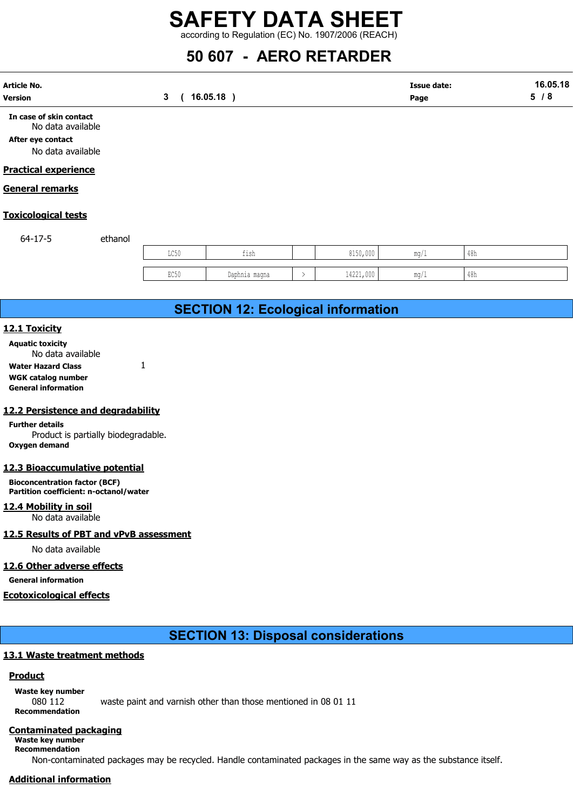## 50 607 - AERO RETARDER

|                                                                                        |         |              | according to Regulation (EC) No. 1907/2006 (REACH) |               |           |                            |                |                 |
|----------------------------------------------------------------------------------------|---------|--------------|----------------------------------------------------|---------------|-----------|----------------------------|----------------|-----------------|
|                                                                                        |         |              | 50 607 - AERO RETARDER                             |               |           |                            |                |                 |
| <b>Article No.</b><br><b>Version</b>                                                   |         | $\mathbf{3}$ | $16.05.18$ )                                       |               |           | <b>Issue date:</b><br>Page |                | 16.05.18<br>5/8 |
| In case of skin contact<br>No data available<br>After eye contact<br>No data available |         |              |                                                    |               |           |                            |                |                 |
| <b>Practical experience</b>                                                            |         |              |                                                    |               |           |                            |                |                 |
| <b>General remarks</b>                                                                 |         |              |                                                    |               |           |                            |                |                 |
| <b>Toxicological tests</b>                                                             |         |              |                                                    |               |           |                            |                |                 |
| $64 - 17 - 5$                                                                          | ethanol |              |                                                    |               |           |                            |                |                 |
|                                                                                        |         | LC50         | fish                                               |               | 8150,000  | mg/1                       | 48h            |                 |
|                                                                                        |         | EC50         | Daphnia magna                                      | $\rightarrow$ | 14221,000 | mg/1                       | $48\mathrm{h}$ |                 |
|                                                                                        |         |              |                                                    |               |           |                            |                |                 |
|                                                                                        |         |              | <b>SECTION 12: Ecological information</b>          |               |           |                            |                |                 |
| 12.1 Toxicity                                                                          |         |              |                                                    |               |           |                            |                |                 |
| <b>Aquatic toxicity</b><br>No data available                                           |         |              |                                                    |               |           |                            |                |                 |

## Practical experience

## General remarks

## Toxicological tests

| . |      |                |                                     |      |     |
|---|------|----------------|-------------------------------------|------|-----|
|   | LC50 | $\sim$<br>ᆂᆂᇦᄞ | 01E <sub>0</sub><br>0.00<br>∪∪U,∪UU | mq/L | 48h |
|   |      |                |                                     |      |     |
|   | EC50 | Daphnia magna  | 14221,000                           | ma/l | 48h |
|   |      |                |                                     |      |     |

## SECTION 12: Ecological information

## 12.1 Toxicity

Water Hazard Class 1 WGK catalog number General information

## 12.2 Persistence and degradability

Further details Product is partially biodegradable. Oxygen demand

## 12.3 Bioaccumulative potential

Bioconcentration factor (BCF) Partition coefficient: n-octanol/water

12.4 Mobility in soil No data available

## 12.5 Results of PBT and vPvB assessment

No data available

## 12.6 Other adverse effects

General information

## Ecotoxicological effects

## SECTION 13: Disposal considerations

## 13.1 Waste treatment methods

## **Product**

Waste key number 080 112 waste paint and varnish other than those mentioned in 08 01 11 Recommendation

## Contaminated packaging

Waste key number Recommendation

Non-contaminated packages may be recycled. Handle contaminated packages in the same way as the substance itself.

## Additional information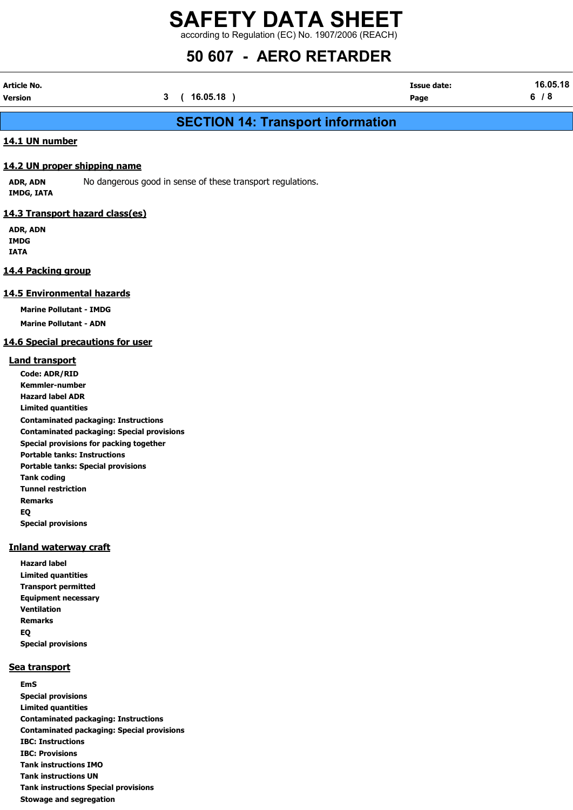## SAFETY DATA SHEET according to Regulation (EC) No. 1907/2006 (REACH)

## 50 607 - AERO RETARDER

| Article No. |              | <b>Issue date:</b> | 16.05.18 |
|-------------|--------------|--------------------|----------|
| Version     | 3 ( 16.05.18 | Page               | 6/8      |

## SECTION 14: Transport information

## 14.1 UN number

## 14.2 UN proper shipping name

ADR, ADN No dangerous good in sense of these transport regulations. IMDG, IATA

## 14.3 Transport hazard class(es)

ADR, ADN IMDG IATA

## 14.4 Packing group

## 14.5 Environmental hazards

Marine Pollutant - IMDG

Marine Pollutant - ADN

## 14.6 Special precautions for user

## Land transport

Code: ADR/RID Kemmler-number Hazard label ADR Limited quantities Contaminated packaging: Instructions Contaminated packaging: Special provisions Special provisions for packing together Portable tanks: Instructions Portable tanks: Special provisions Tank coding Tunnel restriction Remarks EQ Special provisions

## Inland waterway craft

Hazard label Limited quantities Transport permitted Equipment necessary Ventilation Remarks EQ Special provisions

## Sea transport

EmS Special provisions Limited quantities Contaminated packaging: Instructions Contaminated packaging: Special provisions IBC: Instructions IBC: Provisions Tank instructions IMO Tank instructions UN Tank instructions Special provisions Stowage and segregation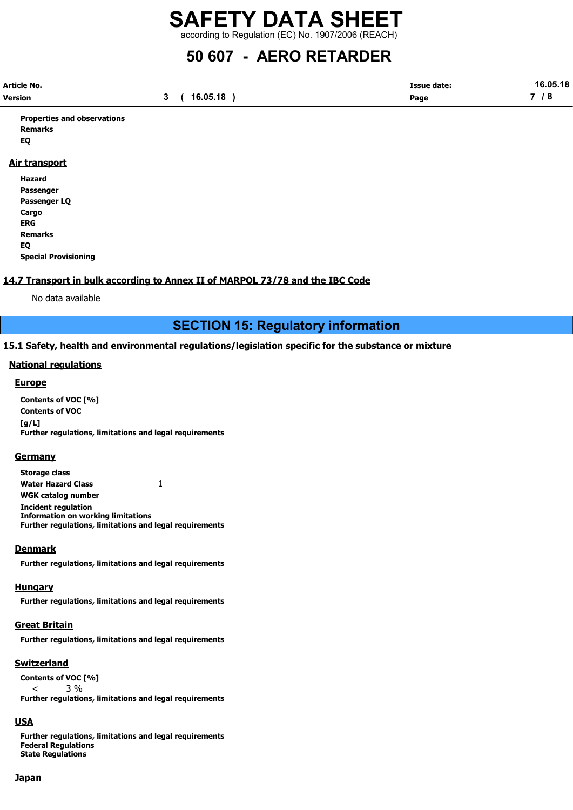according to Regulation (EC) No. 1907/2006 (REACH)

## 50 607 - AERO RETARDER

| Article No. |          | <b>Issue date:</b> | 16.05.18 |
|-------------|----------|--------------------|----------|
| Version     | 16.05.18 | Page               | $\sim$   |

Properties and observations Remarks EQ

## Air transport

Hazard Passenger Passenger LQ Cargo ERG Remarks EQ Special Provisioning

## 14.7 Transport in bulk according to Annex II of MARPOL 73/78 and the IBC Code

No data available

SECTION 15: Regulatory information

## 15.1 Safety, health and environmental regulations/legislation specific for the substance or mixture

## National regulations

## **Europe**

Contents of VOC [%] Contents of VOC [g/L] Further regulations, limitations and legal requirements

## **Germany**

Storage class Water Hazard Class 1 WGK catalog number Incident regulation Information on working limitations Further regulations, limitations and legal requirements

## **Denmark**

Further regulations, limitations and legal requirements

## **Hungary**

Further regulations, limitations and legal requirements

## Great Britain

Further regulations, limitations and legal requirements

## **Switzerland**

Contents of VOC [%]  $< 3\%$ Further regulations, limitations and legal requirements

## USA

Further regulations, limitations and legal requirements Federal Regulations State Regulations

## Japan